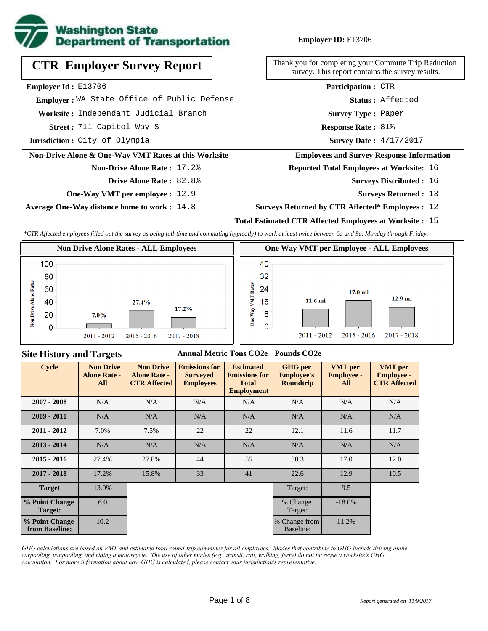

## **CTR Employer Survey Report**

**Employer Id :** E13706

**Worksite :** Independant Judicial Branch  **Employer :** WA State Office of Public Defense

711 Capitol Way S **Response Rate : Street :**

**Jurisdiction :** City of Olympia

#### **Non-Drive Alone & One-Way VMT Rates at this Worksite**

#### **Non-Drive Alone Rate :** 17.2% **Drive Alone Rate :** 82.8%

**One-Way VMT per employee :** 12.9

**Average One-Way distance home to work :** 14.8

#### **Employer ID:** E13706

Thank you for completing your Commute Trip Reduction survey. This report contains the survey results.

> **Status :** Affected **Participation :** CTR

**Survey Type :** Paper

Response Rate: 81%

Survey Date:  $4/17/2017$ 

#### **Employees and Survey Response Information**

**Reported Total Employees at Worksite:** 16

- Surveys Distributed : 16
	- **Surveys Returned :** 13

#### **Surveys Returned by CTR Affected\* Employees :** 12

#### **Total Estimated CTR Affected Employees at Worksite :** 15

*\*CTR Affected employees filled out the survey as being full-time and commuting (typically) to work at least twice between 6a and 9a, Monday through Friday.*



#### **Site History and Targets**

#### **Annual Metric Tons CO2e Pounds CO2e**

| <b>Cycle</b>                     | <b>Non Drive</b><br><b>Alone Rate -</b><br>All | <b>Non Drive</b><br><b>Alone Rate -</b><br><b>CTR Affected</b> | <b>Emissions for</b><br><b>Surveyed</b><br><b>Employees</b> | <b>Estimated</b><br><b>Emissions for</b><br><b>Total</b><br><b>Employment</b> | <b>GHG</b> per<br><b>Employee's</b><br><b>Roundtrip</b> | <b>VMT</b> per<br><b>Employee -</b><br>All | <b>VMT</b> per<br><b>Employee -</b><br><b>CTR Affected</b> |
|----------------------------------|------------------------------------------------|----------------------------------------------------------------|-------------------------------------------------------------|-------------------------------------------------------------------------------|---------------------------------------------------------|--------------------------------------------|------------------------------------------------------------|
| $2007 - 2008$                    | N/A                                            | N/A                                                            | N/A                                                         | N/A                                                                           | N/A                                                     | N/A                                        | N/A                                                        |
| $2009 - 2010$                    | N/A                                            | N/A                                                            | N/A                                                         | N/A                                                                           | N/A                                                     | N/A                                        | N/A                                                        |
| $2011 - 2012$                    | 7.0%                                           | 7.5%                                                           | 22                                                          | 22                                                                            | 12.1                                                    | 11.6                                       | 11.7                                                       |
| $2013 - 2014$                    | N/A                                            | N/A                                                            | N/A                                                         | N/A                                                                           | N/A                                                     | N/A                                        | N/A                                                        |
| $2015 - 2016$                    | 27.4%                                          | 27.8%                                                          | 44                                                          | 55                                                                            | 30.3                                                    | 17.0                                       | 12.0                                                       |
| $2017 - 2018$                    | 17.2%                                          | 15.8%                                                          | 33                                                          | 41                                                                            | 22.6                                                    | 12.9                                       | 10.5                                                       |
| <b>Target</b>                    | 13.0%                                          |                                                                |                                                             |                                                                               | Target:                                                 | 9.5                                        |                                                            |
| % Point Change<br>Target:        | 6.0                                            |                                                                |                                                             |                                                                               | % Change<br>Target:                                     | $-18.0\%$                                  |                                                            |
| % Point Change<br>from Baseline: | 10.2                                           |                                                                |                                                             |                                                                               | % Change from<br>Baseline:                              | 11.2%                                      |                                                            |

*GHG calculations are based on VMT and estimated total round-trip commutes for all employees. Modes that contribute to GHG include driving alone, carpooling, vanpooling, and riding a motorcycle. The use of other modes (e.g., transit, rail, walking, ferry) do not increase a worksite's GHG calculation. For more information about how GHG is calculated, please contact your jurisdiction's representative.*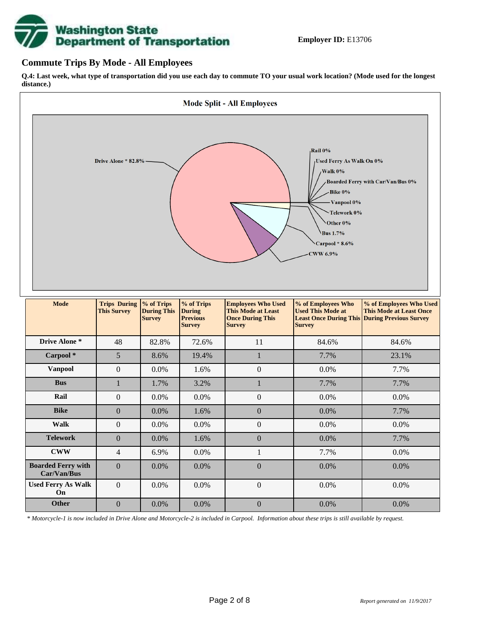# **Washington State<br>Department of Transportation**

#### **Commute Trips By Mode - All Employees**

**Q.4: Last week, what type of transportation did you use each day to commute TO your usual work location? (Mode used for the longest distance.)**



*\* Motorcycle-1 is now included in Drive Alone and Motorcycle-2 is included in Carpool. Information about these trips is still available by request.*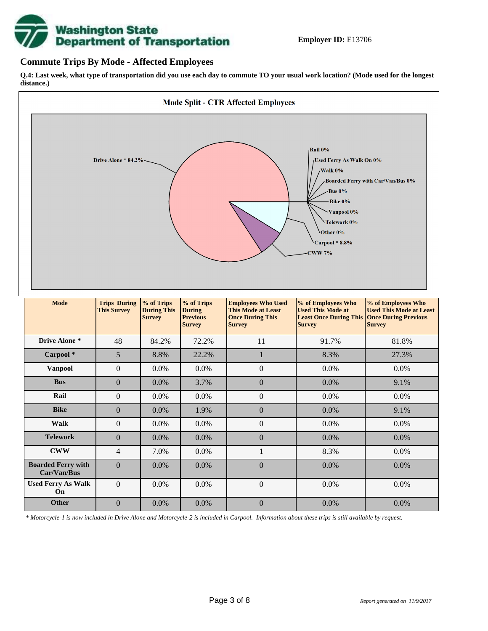

#### **Commute Trips By Mode - Affected Employees**

**Q.4: Last week, what type of transportation did you use each day to commute TO your usual work location? (Mode used for the longest distance.)**



*\* Motorcycle-1 is now included in Drive Alone and Motorcycle-2 is included in Carpool. Information about these trips is still available by request.*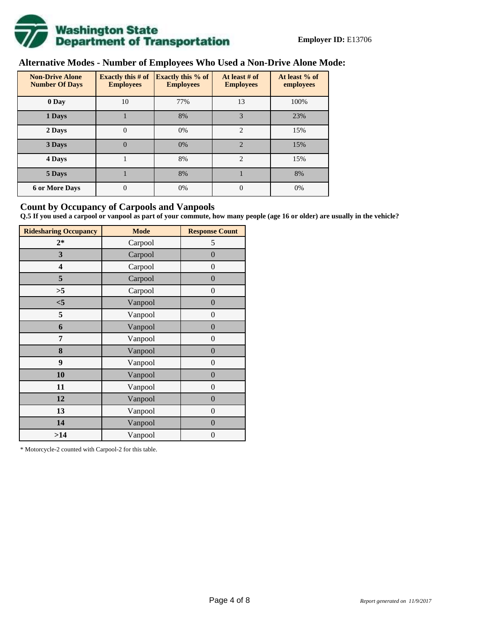

## **Alternative Modes - Number of Employees Who Used a Non-Drive Alone Mode:**

| <b>Non-Drive Alone</b><br><b>Number Of Days</b> | Exactly this $#$ of<br><b>Employees</b> | <b>Exactly this % of</b><br><b>Employees</b> | At least # of<br><b>Employees</b> | At least % of<br>employees |  |  |
|-------------------------------------------------|-----------------------------------------|----------------------------------------------|-----------------------------------|----------------------------|--|--|
| 0 Day                                           | 10                                      | 77%                                          | 13                                | 100%                       |  |  |
| 1 Days                                          |                                         | 8%                                           | 3                                 | 23%                        |  |  |
| 2 Days                                          | $\mathbf{0}$                            | 0%                                           | $\overline{2}$                    | 15%                        |  |  |
| 3 Days                                          | $\theta$                                | 0%                                           | $\mathfrak{D}$                    | 15%                        |  |  |
| 4 Days                                          |                                         | 8%                                           | $\overline{2}$                    | 15%                        |  |  |
| 5 Days                                          |                                         | 8%                                           |                                   | 8%                         |  |  |
| <b>6 or More Days</b>                           | 0                                       | 0%                                           | $\Omega$                          | 0%                         |  |  |

#### **Count by Occupancy of Carpools and Vanpools**

**Q.5 If you used a carpool or vanpool as part of your commute, how many people (age 16 or older) are usually in the vehicle?**

| <b>Ridesharing Occupancy</b> | <b>Mode</b> | <b>Response Count</b> |
|------------------------------|-------------|-----------------------|
| $2*$                         | Carpool     | 5                     |
| 3                            | Carpool     | $\boldsymbol{0}$      |
| 4                            | Carpool     | $\theta$              |
| 5                            | Carpool     | $\overline{0}$        |
| >5                           | Carpool     | $\overline{0}$        |
| $<$ 5                        | Vanpool     | $\overline{0}$        |
| 5                            | Vanpool     | $\overline{0}$        |
| 6                            | Vanpool     | $\boldsymbol{0}$      |
| 7                            | Vanpool     | $\overline{0}$        |
| 8                            | Vanpool     | $\boldsymbol{0}$      |
| 9                            | Vanpool     | $\overline{0}$        |
| 10                           | Vanpool     | $\overline{0}$        |
| 11                           | Vanpool     | $\boldsymbol{0}$      |
| 12                           | Vanpool     | $\boldsymbol{0}$      |
| 13                           | Vanpool     | $\boldsymbol{0}$      |
| 14                           | Vanpool     | $\overline{0}$        |
| >14                          | Vanpool     | $\boldsymbol{0}$      |

\* Motorcycle-2 counted with Carpool-2 for this table.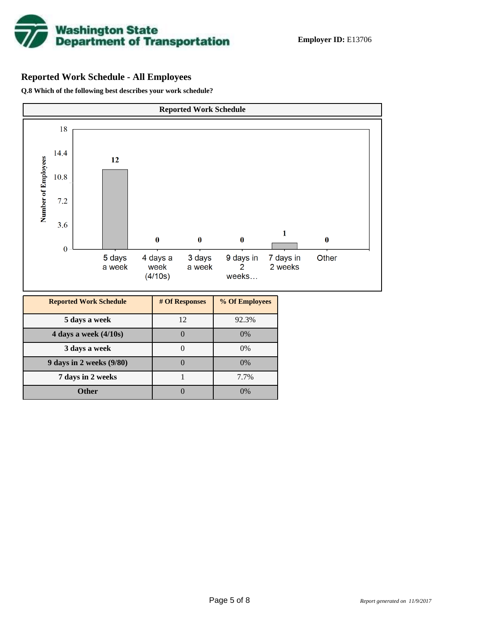

## **Reported Work Schedule - All Employees**

**Q.8 Which of the following best describes your work schedule?**

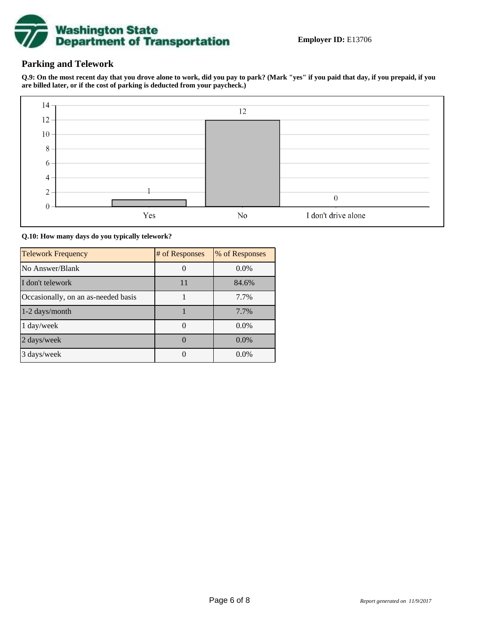

#### **Parking and Telework**

**Q.9: On the most recent day that you drove alone to work, did you pay to park? (Mark "yes" if you paid that day, if you prepaid, if you are billed later, or if the cost of parking is deducted from your paycheck.)**



**Q.10: How many days do you typically telework?**

| <b>Telework Frequency</b>           | # of Responses | % of Responses |
|-------------------------------------|----------------|----------------|
| No Answer/Blank                     |                | $0.0\%$        |
| I don't telework                    | 11             | 84.6%          |
| Occasionally, on an as-needed basis |                | 7.7%           |
| 1-2 days/month                      |                | 7.7%           |
| 1 day/week                          |                | $0.0\%$        |
| 2 days/week                         |                | $0.0\%$        |
| 3 days/week                         |                | $0.0\%$        |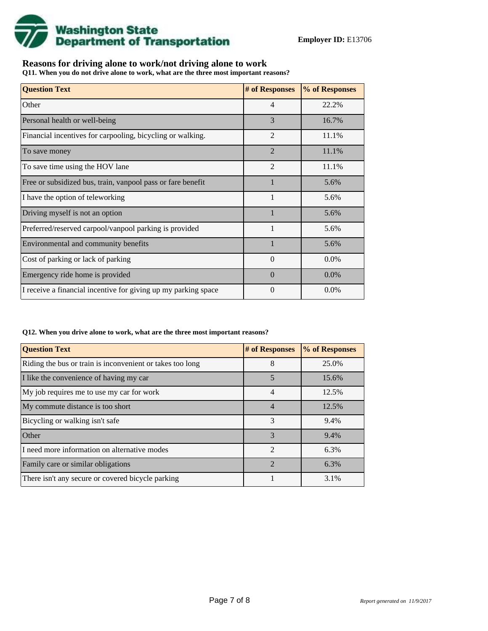

### **Reasons for driving alone to work/not driving alone to work**

**Q11. When you do not drive alone to work, what are the three most important reasons?**

| <b>Question Text</b>                                           | # of Responses | % of Responses |
|----------------------------------------------------------------|----------------|----------------|
| Other                                                          | 4              | 22.2%          |
| Personal health or well-being                                  | 3              | 16.7%          |
| Financial incentives for carpooling, bicycling or walking.     | $\mathfrak{D}$ | 11.1%          |
| To save money                                                  | $\overline{2}$ | 11.1%          |
| To save time using the HOV lane                                | $\overline{2}$ | 11.1%          |
| Free or subsidized bus, train, vanpool pass or fare benefit    | $\mathbf{1}$   | 5.6%           |
| I have the option of teleworking                               | 1              | 5.6%           |
| Driving myself is not an option                                |                | 5.6%           |
| Preferred/reserved carpool/vanpool parking is provided         | $\mathbf{1}$   | 5.6%           |
| Environmental and community benefits                           |                | 5.6%           |
| Cost of parking or lack of parking                             | $\Omega$       | 0.0%           |
| Emergency ride home is provided                                | $\Omega$       | $0.0\%$        |
| I receive a financial incentive for giving up my parking space | $\Omega$       | $0.0\%$        |

#### **Q12. When you drive alone to work, what are the three most important reasons?**

| <b>Question Text</b>                                      | # of Responses | % of Responses |
|-----------------------------------------------------------|----------------|----------------|
| Riding the bus or train is inconvenient or takes too long | 8              | 25.0%          |
| I like the convenience of having my car                   | 5              | 15.6%          |
| My job requires me to use my car for work                 | 4              | 12.5%          |
| My commute distance is too short                          | $\overline{4}$ | 12.5%          |
| Bicycling or walking isn't safe                           | 3              | 9.4%           |
| <b>Other</b>                                              | 3              | 9.4%           |
| I need more information on alternative modes              | $\mathfrak{D}$ | 6.3%           |
| Family care or similar obligations                        | $\mathcal{D}$  | 6.3%           |
| There isn't any secure or covered bicycle parking         |                | 3.1%           |